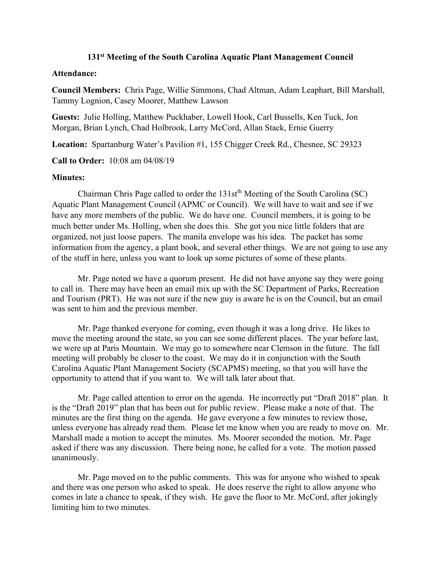## **131st Meeting of the South Carolina Aquatic Plant Management Council**

## **Attendance:**

**Council Members:** Chris Page, Willie Simmons, Chad Altman, Adam Leaphart, Bill Marshall, Tammy Lognion, Casey Moorer, Matthew Lawson

**Guests:** Julie Holling, Matthew Puckhaber, Lowell Hook, Carl Bussells, Ken Tuck, Jon Morgan, Brian Lynch, Chad Holbrook, Larry McCord, Allan Stack, Ernie Guerry

**Location:** Spartanburg Water's Pavilion #1, 155 Chigger Creek Rd., Chesnee, SC 29323

**Call to Order:** 10:08 am 04/08/19

## **Minutes:**

Chairman Chris Page called to order the 131st<sup>th</sup> Meeting of the South Carolina (SC) Aquatic Plant Management Council (APMC or Council). We will have to wait and see if we have any more members of the public. We do have one. Council members, it is going to be much better under Ms. Holling, when she does this. She got you nice little folders that are organized, not just loose papers. The manila envelope was his idea. The packet has some information from the agency, a plant book, and several other things. We are not going to use any of the stuff in here, unless you want to look up some pictures of some of these plants.

Mr. Page noted we have a quorum present. He did not have anyone say they were going to call in. There may have been an email mix up with the SC Department of Parks, Recreation and Tourism (PRT). He was not sure if the new guy is aware he is on the Council, but an email was sent to him and the previous member.

Mr. Page thanked everyone for coming, even though it was a long drive. He likes to move the meeting around the state, so you can see some different places. The year before last, we were up at Paris Mountain. We may go to somewhere near Clemson in the future. The fall meeting will probably be closer to the coast. We may do it in conjunction with the South Carolina Aquatic Plant Management Society (SCAPMS) meeting, so that you will have the opportunity to attend that if you want to. We will talk later about that.

Mr. Page called attention to error on the agenda. He incorrectly put "Draft 2018" plan. It is the "Draft 2019" plan that has been out for public review. Please make a note of that. The minutes are the first thing on the agenda. He gave everyone a few minutes to review those, unless everyone has already read them. Please let me know when you are ready to move on. Mr. Marshall made a motion to accept the minutes. Ms. Moorer seconded the motion. Mr. Page asked if there was any discussion. There being none, he called for a vote. The motion passed unanimously.

Mr. Page moved on to the public comments. This was for anyone who wished to speak and there was one person who asked to speak. He does reserve the right to allow anyone who comes in late a chance to speak, if they wish. He gave the floor to Mr. McCord, after jokingly limiting him to two minutes.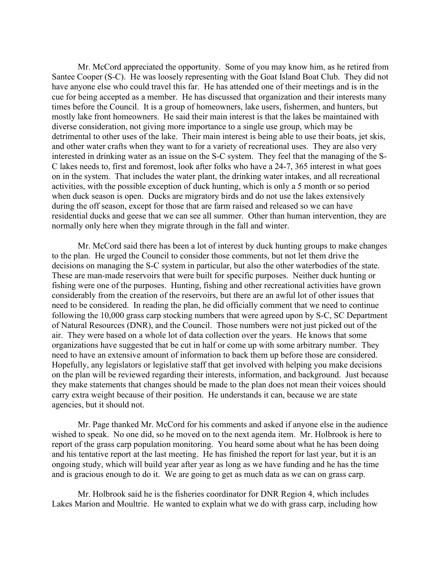Mr. McCord appreciated the opportunity. Some of you may know him, as he retired from Santee Cooper (S-C). He was loosely representing with the Goat Island Boat Club. They did not have anyone else who could travel this far. He has attended one of their meetings and is in the cue for being accepted as a member. He has discussed that organization and their interests many times before the Council. It is a group of homeowners, lake users, fishermen, and hunters, but mostly lake front homeowners. He said their main interest is that the lakes be maintained with diverse consideration, not giving more importance to a single use group, which may be detrimental to other uses of the lake. Their main interest is being able to use their boats, jet skis, and other water crafts when they want to for a variety of recreational uses. They are also very interested in drinking water as an issue on the S-C system. They feel that the managing of the S-C lakes needs to, first and foremost, look after folks who have a 24-7, 365 interest in what goes on in the system. That includes the water plant, the drinking water intakes, and all recreational activities, with the possible exception of duck hunting, which is only a 5 month or so period when duck season is open. Ducks are migratory birds and do not use the lakes extensively during the off season, except for those that are farm raised and released so we can have residential ducks and geese that we can see all summer. Other than human intervention, they are normally only here when they migrate through in the fall and winter.

Mr. McCord said there has been a lot of interest by duck hunting groups to make changes to the plan. He urged the Council to consider those comments, but not let them drive the decisions on managing the S-C system in particular, but also the other waterbodies of the state. These are man-made reservoirs that were built for specific purposes. Neither duck hunting or fishing were one of the purposes. Hunting, fishing and other recreational activities have grown considerably from the creation of the reservoirs, but there are an awful lot of other issues that need to be considered. In reading the plan, he did officially comment that we need to continue following the 10,000 grass carp stocking numbers that were agreed upon by S-C, SC Department of Natural Resources (DNR), and the Council. Those numbers were not just picked out of the air. They were based on a whole lot of data collection over the years. He knows that some organizations have suggested that be cut in half or come up with some arbitrary number. They need to have an extensive amount of information to back them up before those are considered. Hopefully, any legislators or legislative staff that get involved with helping you make decisions on the plan will be reviewed regarding their interests, information, and background. Just because they make statements that changes should be made to the plan does not mean their voices should carry extra weight because of their position. He understands it can, because we are state agencies, but it should not.

Mr. Page thanked Mr. McCord for his comments and asked if anyone else in the audience wished to speak. No one did, so he moved on to the next agenda item. Mr. Holbrook is here to report of the grass carp population monitoring. You heard some about what he has been doing and his tentative report at the last meeting. He has finished the report for last year, but it is an ongoing study, which will build year after year as long as we have funding and he has the time and is gracious enough to do it. We are going to get as much data as we can on grass carp.

Mr. Holbrook said he is the fisheries coordinator for DNR Region 4, which includes Lakes Marion and Moultrie. He wanted to explain what we do with grass carp, including how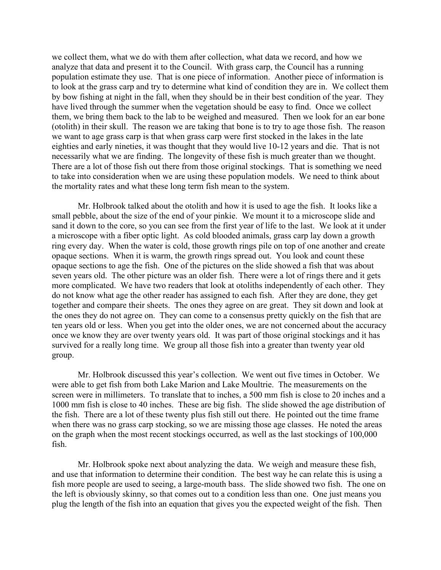we collect them, what we do with them after collection, what data we record, and how we analyze that data and present it to the Council. With grass carp, the Council has a running population estimate they use. That is one piece of information. Another piece of information is to look at the grass carp and try to determine what kind of condition they are in. We collect them by bow fishing at night in the fall, when they should be in their best condition of the year. They have lived through the summer when the vegetation should be easy to find. Once we collect them, we bring them back to the lab to be weighed and measured. Then we look for an ear bone (otolith) in their skull. The reason we are taking that bone is to try to age those fish. The reason we want to age grass carp is that when grass carp were first stocked in the lakes in the late eighties and early nineties, it was thought that they would live 10-12 years and die. That is not necessarily what we are finding. The longevity of these fish is much greater than we thought. There are a lot of those fish out there from those original stockings. That is something we need to take into consideration when we are using these population models. We need to think about the mortality rates and what these long term fish mean to the system.

Mr. Holbrook talked about the otolith and how it is used to age the fish. It looks like a small pebble, about the size of the end of your pinkie. We mount it to a microscope slide and sand it down to the core, so you can see from the first year of life to the last. We look at it under a microscope with a fiber optic light. As cold blooded animals, grass carp lay down a growth ring every day. When the water is cold, those growth rings pile on top of one another and create opaque sections. When it is warm, the growth rings spread out. You look and count these opaque sections to age the fish. One of the pictures on the slide showed a fish that was about seven years old. The other picture was an older fish. There were a lot of rings there and it gets more complicated. We have two readers that look at otoliths independently of each other. They do not know what age the other reader has assigned to each fish. After they are done, they get together and compare their sheets. The ones they agree on are great. They sit down and look at the ones they do not agree on. They can come to a consensus pretty quickly on the fish that are ten years old or less. When you get into the older ones, we are not concerned about the accuracy once we know they are over twenty years old. It was part of those original stockings and it has survived for a really long time. We group all those fish into a greater than twenty year old group.

Mr. Holbrook discussed this year's collection. We went out five times in October. We were able to get fish from both Lake Marion and Lake Moultrie. The measurements on the screen were in millimeters. To translate that to inches, a 500 mm fish is close to 20 inches and a 1000 mm fish is close to 40 inches. These are big fish. The slide showed the age distribution of the fish. There are a lot of these twenty plus fish still out there. He pointed out the time frame when there was no grass carp stocking, so we are missing those age classes. He noted the areas on the graph when the most recent stockings occurred, as well as the last stockings of 100,000 fish.

Mr. Holbrook spoke next about analyzing the data. We weigh and measure these fish, and use that information to determine their condition. The best way he can relate this is using a fish more people are used to seeing, a large-mouth bass. The slide showed two fish. The one on the left is obviously skinny, so that comes out to a condition less than one. One just means you plug the length of the fish into an equation that gives you the expected weight of the fish. Then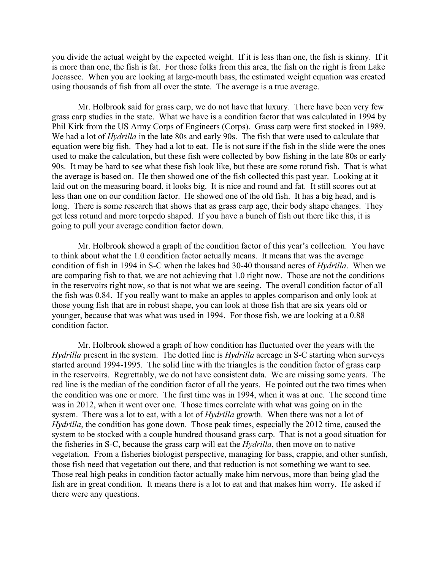you divide the actual weight by the expected weight. If it is less than one, the fish is skinny. If it is more than one, the fish is fat. For those folks from this area, the fish on the right is from Lake Jocassee. When you are looking at large-mouth bass, the estimated weight equation was created using thousands of fish from all over the state. The average is a true average.

Mr. Holbrook said for grass carp, we do not have that luxury. There have been very few grass carp studies in the state. What we have is a condition factor that was calculated in 1994 by Phil Kirk from the US Army Corps of Engineers (Corps). Grass carp were first stocked in 1989. We had a lot of *Hydrilla* in the late 80s and early 90s. The fish that were used to calculate that equation were big fish. They had a lot to eat. He is not sure if the fish in the slide were the ones used to make the calculation, but these fish were collected by bow fishing in the late 80s or early 90s. It may be hard to see what these fish look like, but these are some rotund fish. That is what the average is based on. He then showed one of the fish collected this past year. Looking at it laid out on the measuring board, it looks big. It is nice and round and fat. It still scores out at less than one on our condition factor. He showed one of the old fish. It has a big head, and is long. There is some research that shows that as grass carp age, their body shape changes. They get less rotund and more torpedo shaped. If you have a bunch of fish out there like this, it is going to pull your average condition factor down.

Mr. Holbrook showed a graph of the condition factor of this year's collection. You have to think about what the 1.0 condition factor actually means. It means that was the average condition of fish in 1994 in S-C when the lakes had 30-40 thousand acres of *Hydrilla*. When we are comparing fish to that, we are not achieving that 1.0 right now. Those are not the conditions in the reservoirs right now, so that is not what we are seeing. The overall condition factor of all the fish was 0.84. If you really want to make an apples to apples comparison and only look at those young fish that are in robust shape, you can look at those fish that are six years old or younger, because that was what was used in 1994. For those fish, we are looking at a 0.88 condition factor.

Mr. Holbrook showed a graph of how condition has fluctuated over the years with the *Hydrilla* present in the system. The dotted line is *Hydrilla* acreage in S-C starting when surveys started around 1994-1995. The solid line with the triangles is the condition factor of grass carp in the reservoirs. Regrettably, we do not have consistent data. We are missing some years. The red line is the median of the condition factor of all the years. He pointed out the two times when the condition was one or more. The first time was in 1994, when it was at one. The second time was in 2012, when it went over one. Those times correlate with what was going on in the system. There was a lot to eat, with a lot of *Hydrilla* growth. When there was not a lot of *Hydrilla*, the condition has gone down. Those peak times, especially the 2012 time, caused the system to be stocked with a couple hundred thousand grass carp. That is not a good situation for the fisheries in S-C, because the grass carp will eat the *Hydrilla*, then move on to native vegetation. From a fisheries biologist perspective, managing for bass, crappie, and other sunfish, those fish need that vegetation out there, and that reduction is not something we want to see. Those real high peaks in condition factor actually make him nervous, more than being glad the fish are in great condition. It means there is a lot to eat and that makes him worry. He asked if there were any questions.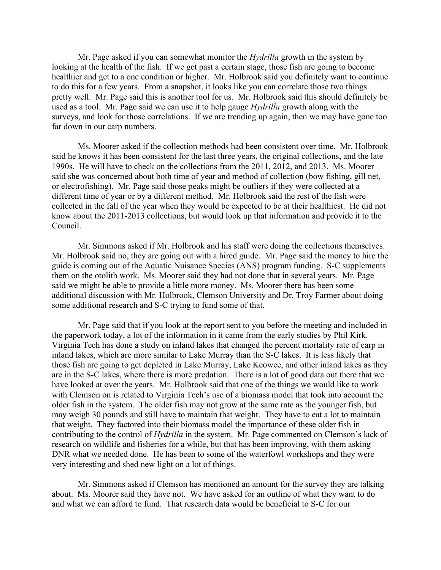Mr. Page asked if you can somewhat monitor the *Hydrilla* growth in the system by looking at the health of the fish. If we get past a certain stage, those fish are going to become healthier and get to a one condition or higher. Mr. Holbrook said you definitely want to continue to do this for a few years. From a snapshot, it looks like you can correlate those two things pretty well. Mr. Page said this is another tool for us. Mr. Holbrook said this should definitely be used as a tool. Mr. Page said we can use it to help gauge *Hydrilla* growth along with the surveys, and look for those correlations. If we are trending up again, then we may have gone too far down in our carp numbers.

Ms. Moorer asked if the collection methods had been consistent over time. Mr. Holbrook said he knows it has been consistent for the last three years, the original collections, and the late 1990s. He will have to check on the collections from the 2011, 2012, and 2013. Ms. Moorer said she was concerned about both time of year and method of collection (bow fishing, gill net, or electrofishing). Mr. Page said those peaks might be outliers if they were collected at a different time of year or by a different method. Mr. Holbrook said the rest of the fish were collected in the fall of the year when they would be expected to be at their healthiest. He did not know about the 2011-2013 collections, but would look up that information and provide it to the Council.

Mr. Simmons asked if Mr. Holbrook and his staff were doing the collections themselves. Mr. Holbrook said no, they are going out with a hired guide. Mr. Page said the money to hire the guide is coming out of the Aquatic Nuisance Species (ANS) program funding. S-C supplements them on the otolith work. Ms. Moorer said they had not done that in several years. Mr. Page said we might be able to provide a little more money. Ms. Moorer there has been some additional discussion with Mr. Holbrook, Clemson University and Dr. Troy Farmer about doing some additional research and S-C trying to fund some of that.

Mr. Page said that if you look at the report sent to you before the meeting and included in the paperwork today, a lot of the information in it came from the early studies by Phil Kirk. Virginia Tech has done a study on inland lakes that changed the percent mortality rate of carp in inland lakes, which are more similar to Lake Murray than the S-C lakes. It is less likely that those fish are going to get depleted in Lake Murray, Lake Keowee, and other inland lakes as they are in the S-C lakes, where there is more predation. There is a lot of good data out there that we have looked at over the years. Mr. Holbrook said that one of the things we would like to work with Clemson on is related to Virginia Tech's use of a biomass model that took into account the older fish in the system. The older fish may not grow at the same rate as the younger fish, but may weigh 30 pounds and still have to maintain that weight. They have to eat a lot to maintain that weight. They factored into their biomass model the importance of these older fish in contributing to the control of *Hydrilla* in the system. Mr. Page commented on Clemson's lack of research on wildlife and fisheries for a while, but that has been improving, with them asking DNR what we needed done. He has been to some of the waterfowl workshops and they were very interesting and shed new light on a lot of things.

Mr. Simmons asked if Clemson has mentioned an amount for the survey they are talking about. Ms. Moorer said they have not. We have asked for an outline of what they want to do and what we can afford to fund. That research data would be beneficial to S-C for our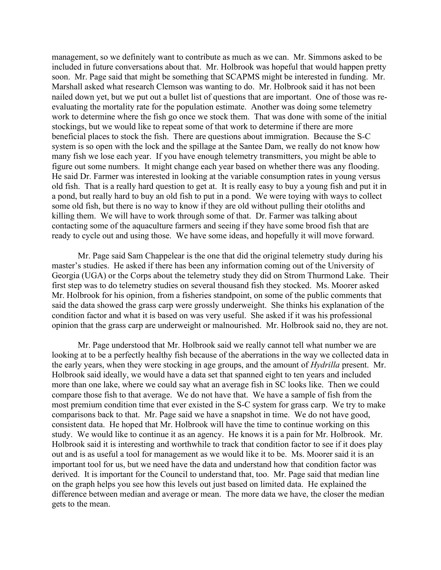management, so we definitely want to contribute as much as we can. Mr. Simmons asked to be included in future conversations about that. Mr. Holbrook was hopeful that would happen pretty soon. Mr. Page said that might be something that SCAPMS might be interested in funding. Mr. Marshall asked what research Clemson was wanting to do. Mr. Holbrook said it has not been nailed down yet, but we put out a bullet list of questions that are important. One of those was reevaluating the mortality rate for the population estimate. Another was doing some telemetry work to determine where the fish go once we stock them. That was done with some of the initial stockings, but we would like to repeat some of that work to determine if there are more beneficial places to stock the fish. There are questions about immigration. Because the S-C system is so open with the lock and the spillage at the Santee Dam, we really do not know how many fish we lose each year. If you have enough telemetry transmitters, you might be able to figure out some numbers. It might change each year based on whether there was any flooding. He said Dr. Farmer was interested in looking at the variable consumption rates in young versus old fish. That is a really hard question to get at. It is really easy to buy a young fish and put it in a pond, but really hard to buy an old fish to put in a pond. We were toying with ways to collect some old fish, but there is no way to know if they are old without pulling their otoliths and killing them. We will have to work through some of that. Dr. Farmer was talking about contacting some of the aquaculture farmers and seeing if they have some brood fish that are ready to cycle out and using those. We have some ideas, and hopefully it will move forward.

Mr. Page said Sam Chappelear is the one that did the original telemetry study during his master's studies. He asked if there has been any information coming out of the University of Georgia (UGA) or the Corps about the telemetry study they did on Strom Thurmond Lake. Their first step was to do telemetry studies on several thousand fish they stocked. Ms. Moorer asked Mr. Holbrook for his opinion, from a fisheries standpoint, on some of the public comments that said the data showed the grass carp were grossly underweight. She thinks his explanation of the condition factor and what it is based on was very useful. She asked if it was his professional opinion that the grass carp are underweight or malnourished. Mr. Holbrook said no, they are not.

Mr. Page understood that Mr. Holbrook said we really cannot tell what number we are looking at to be a perfectly healthy fish because of the aberrations in the way we collected data in the early years, when they were stocking in age groups, and the amount of *Hydrilla* present. Mr. Holbrook said ideally, we would have a data set that spanned eight to ten years and included more than one lake, where we could say what an average fish in SC looks like. Then we could compare those fish to that average. We do not have that. We have a sample of fish from the most premium condition time that ever existed in the S-C system for grass carp. We try to make comparisons back to that. Mr. Page said we have a snapshot in time. We do not have good, consistent data. He hoped that Mr. Holbrook will have the time to continue working on this study. We would like to continue it as an agency. He knows it is a pain for Mr. Holbrook. Mr. Holbrook said it is interesting and worthwhile to track that condition factor to see if it does play out and is as useful a tool for management as we would like it to be. Ms. Moorer said it is an important tool for us, but we need have the data and understand how that condition factor was derived. It is important for the Council to understand that, too. Mr. Page said that median line on the graph helps you see how this levels out just based on limited data. He explained the difference between median and average or mean. The more data we have, the closer the median gets to the mean.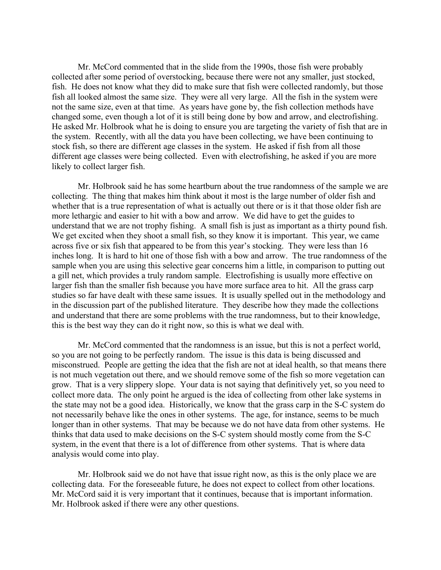Mr. McCord commented that in the slide from the 1990s, those fish were probably collected after some period of overstocking, because there were not any smaller, just stocked, fish. He does not know what they did to make sure that fish were collected randomly, but those fish all looked almost the same size. They were all very large. All the fish in the system were not the same size, even at that time. As years have gone by, the fish collection methods have changed some, even though a lot of it is still being done by bow and arrow, and electrofishing. He asked Mr. Holbrook what he is doing to ensure you are targeting the variety of fish that are in the system. Recently, with all the data you have been collecting, we have been continuing to stock fish, so there are different age classes in the system. He asked if fish from all those different age classes were being collected. Even with electrofishing, he asked if you are more likely to collect larger fish.

Mr. Holbrook said he has some heartburn about the true randomness of the sample we are collecting. The thing that makes him think about it most is the large number of older fish and whether that is a true representation of what is actually out there or is it that those older fish are more lethargic and easier to hit with a bow and arrow. We did have to get the guides to understand that we are not trophy fishing. A small fish is just as important as a thirty pound fish. We get excited when they shoot a small fish, so they know it is important. This year, we came across five or six fish that appeared to be from this year's stocking. They were less than 16 inches long. It is hard to hit one of those fish with a bow and arrow. The true randomness of the sample when you are using this selective gear concerns him a little, in comparison to putting out a gill net, which provides a truly random sample. Electrofishing is usually more effective on larger fish than the smaller fish because you have more surface area to hit. All the grass carp studies so far have dealt with these same issues. It is usually spelled out in the methodology and in the discussion part of the published literature. They describe how they made the collections and understand that there are some problems with the true randomness, but to their knowledge, this is the best way they can do it right now, so this is what we deal with.

Mr. McCord commented that the randomness is an issue, but this is not a perfect world, so you are not going to be perfectly random. The issue is this data is being discussed and misconstrued. People are getting the idea that the fish are not at ideal health, so that means there is not much vegetation out there, and we should remove some of the fish so more vegetation can grow. That is a very slippery slope. Your data is not saying that definitively yet, so you need to collect more data. The only point he argued is the idea of collecting from other lake systems in the state may not be a good idea. Historically, we know that the grass carp in the S-C system do not necessarily behave like the ones in other systems. The age, for instance, seems to be much longer than in other systems. That may be because we do not have data from other systems. He thinks that data used to make decisions on the S-C system should mostly come from the S-C system, in the event that there is a lot of difference from other systems. That is where data analysis would come into play.

Mr. Holbrook said we do not have that issue right now, as this is the only place we are collecting data. For the foreseeable future, he does not expect to collect from other locations. Mr. McCord said it is very important that it continues, because that is important information. Mr. Holbrook asked if there were any other questions.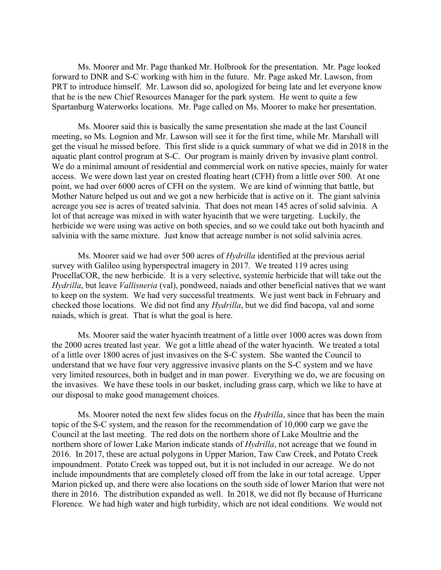Ms. Moorer and Mr. Page thanked Mr. Holbrook for the presentation. Mr. Page looked forward to DNR and S-C working with him in the future. Mr. Page asked Mr. Lawson, from PRT to introduce himself. Mr. Lawson did so, apologized for being late and let everyone know that he is the new Chief Resources Manager for the park system. He went to quite a few Spartanburg Waterworks locations. Mr. Page called on Ms. Moorer to make her presentation.

Ms. Moorer said this is basically the same presentation she made at the last Council meeting, so Ms. Lognion and Mr. Lawson will see it for the first time, while Mr. Marshall will get the visual he missed before. This first slide is a quick summary of what we did in 2018 in the aquatic plant control program at S-C. Our program is mainly driven by invasive plant control. We do a minimal amount of residential and commercial work on native species, mainly for water access. We were down last year on crested floating heart (CFH) from a little over 500. At one point, we had over 6000 acres of CFH on the system. We are kind of winning that battle, but Mother Nature helped us out and we got a new herbicide that is active on it. The giant salvinia acreage you see is acres of treated salvinia. That does not mean 145 acres of solid salvinia. A lot of that acreage was mixed in with water hyacinth that we were targeting. Luckily, the herbicide we were using was active on both species, and so we could take out both hyacinth and salvinia with the same mixture. Just know that acreage number is not solid salvinia acres.

Ms. Moorer said we had over 500 acres of *Hydrilla* identified at the previous aerial survey with Galileo using hyperspectral imagery in 2017. We treated 119 acres using ProcellaCOR, the new herbicide. It is a very selective, systemic herbicide that will take out the *Hydrilla*, but leave *Vallisneria* (val), pondweed, naiads and other beneficial natives that we want to keep on the system. We had very successful treatments. We just went back in February and checked those locations. We did not find any *Hydrilla*, but we did find bacopa, val and some naiads, which is great. That is what the goal is here.

Ms. Moorer said the water hyacinth treatment of a little over 1000 acres was down from the 2000 acres treated last year. We got a little ahead of the water hyacinth. We treated a total of a little over 1800 acres of just invasives on the S-C system. She wanted the Council to understand that we have four very aggressive invasive plants on the S-C system and we have very limited resources, both in budget and in man power. Everything we do, we are focusing on the invasives. We have these tools in our basket, including grass carp, which we like to have at our disposal to make good management choices.

Ms. Moorer noted the next few slides focus on the *Hydrilla*, since that has been the main topic of the S-C system, and the reason for the recommendation of 10,000 carp we gave the Council at the last meeting. The red dots on the northern shore of Lake Moultrie and the northern shore of lower Lake Marion indicate stands of *Hydrilla*, not acreage that we found in 2016. In 2017, these are actual polygons in Upper Marion, Taw Caw Creek, and Potato Creek impoundment. Potato Creek was topped out, but it is not included in our acreage. We do not include impoundments that are completely closed off from the lake in our total acreage. Upper Marion picked up, and there were also locations on the south side of lower Marion that were not there in 2016. The distribution expanded as well. In 2018, we did not fly because of Hurricane Florence. We had high water and high turbidity, which are not ideal conditions. We would not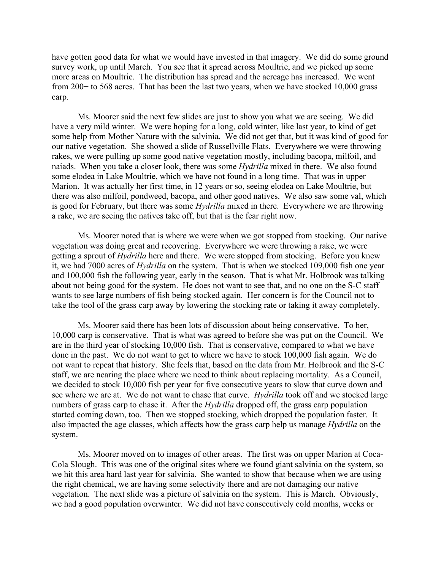have gotten good data for what we would have invested in that imagery. We did do some ground survey work, up until March. You see that it spread across Moultrie, and we picked up some more areas on Moultrie. The distribution has spread and the acreage has increased. We went from 200+ to 568 acres. That has been the last two years, when we have stocked 10,000 grass carp.

Ms. Moorer said the next few slides are just to show you what we are seeing. We did have a very mild winter. We were hoping for a long, cold winter, like last year, to kind of get some help from Mother Nature with the salvinia. We did not get that, but it was kind of good for our native vegetation. She showed a slide of Russellville Flats. Everywhere we were throwing rakes, we were pulling up some good native vegetation mostly, including bacopa, milfoil, and naiads. When you take a closer look, there was some *Hydrilla* mixed in there. We also found some elodea in Lake Moultrie, which we have not found in a long time. That was in upper Marion. It was actually her first time, in 12 years or so, seeing elodea on Lake Moultrie, but there was also milfoil, pondweed, bacopa, and other good natives. We also saw some val, which is good for February, but there was some *Hydrilla* mixed in there. Everywhere we are throwing a rake, we are seeing the natives take off, but that is the fear right now.

Ms. Moorer noted that is where we were when we got stopped from stocking. Our native vegetation was doing great and recovering. Everywhere we were throwing a rake, we were getting a sprout of *Hydrilla* here and there. We were stopped from stocking. Before you knew it, we had 7000 acres of *Hydrilla* on the system. That is when we stocked 109,000 fish one year and 100,000 fish the following year, early in the season. That is what Mr. Holbrook was talking about not being good for the system. He does not want to see that, and no one on the S-C staff wants to see large numbers of fish being stocked again. Her concern is for the Council not to take the tool of the grass carp away by lowering the stocking rate or taking it away completely.

Ms. Moorer said there has been lots of discussion about being conservative. To her, 10,000 carp is conservative. That is what was agreed to before she was put on the Council. We are in the third year of stocking 10,000 fish. That is conservative, compared to what we have done in the past. We do not want to get to where we have to stock 100,000 fish again. We do not want to repeat that history. She feels that, based on the data from Mr. Holbrook and the S-C staff, we are nearing the place where we need to think about replacing mortality. As a Council, we decided to stock 10,000 fish per year for five consecutive years to slow that curve down and see where we are at. We do not want to chase that curve. *Hydrilla* took off and we stocked large numbers of grass carp to chase it. After the *Hydrilla* dropped off, the grass carp population started coming down, too. Then we stopped stocking, which dropped the population faster. It also impacted the age classes, which affects how the grass carp help us manage *Hydrilla* on the system.

Ms. Moorer moved on to images of other areas. The first was on upper Marion at Coca-Cola Slough. This was one of the original sites where we found giant salvinia on the system, so we hit this area hard last year for salvinia. She wanted to show that because when we are using the right chemical, we are having some selectivity there and are not damaging our native vegetation. The next slide was a picture of salvinia on the system. This is March. Obviously, we had a good population overwinter. We did not have consecutively cold months, weeks or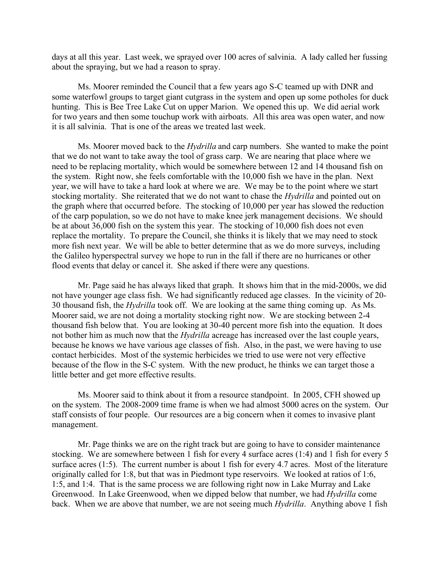days at all this year. Last week, we sprayed over 100 acres of salvinia. A lady called her fussing about the spraying, but we had a reason to spray.

Ms. Moorer reminded the Council that a few years ago S-C teamed up with DNR and some waterfowl groups to target giant cutgrass in the system and open up some potholes for duck hunting. This is Bee Tree Lake Cut on upper Marion. We opened this up. We did aerial work for two years and then some touchup work with airboats. All this area was open water, and now it is all salvinia. That is one of the areas we treated last week.

Ms. Moorer moved back to the *Hydrilla* and carp numbers. She wanted to make the point that we do not want to take away the tool of grass carp. We are nearing that place where we need to be replacing mortality, which would be somewhere between 12 and 14 thousand fish on the system. Right now, she feels comfortable with the 10,000 fish we have in the plan. Next year, we will have to take a hard look at where we are. We may be to the point where we start stocking mortality. She reiterated that we do not want to chase the *Hydrilla* and pointed out on the graph where that occurred before. The stocking of 10,000 per year has slowed the reduction of the carp population, so we do not have to make knee jerk management decisions. We should be at about 36,000 fish on the system this year. The stocking of 10,000 fish does not even replace the mortality. To prepare the Council, she thinks it is likely that we may need to stock more fish next year. We will be able to better determine that as we do more surveys, including the Galileo hyperspectral survey we hope to run in the fall if there are no hurricanes or other flood events that delay or cancel it. She asked if there were any questions.

Mr. Page said he has always liked that graph. It shows him that in the mid-2000s, we did not have younger age class fish. We had significantly reduced age classes. In the vicinity of 20- 30 thousand fish, the *Hydrilla* took off. We are looking at the same thing coming up. As Ms. Moorer said, we are not doing a mortality stocking right now. We are stocking between 2-4 thousand fish below that. You are looking at 30-40 percent more fish into the equation. It does not bother him as much now that the *Hydrilla* acreage has increased over the last couple years, because he knows we have various age classes of fish. Also, in the past, we were having to use contact herbicides. Most of the systemic herbicides we tried to use were not very effective because of the flow in the S-C system. With the new product, he thinks we can target those a little better and get more effective results.

Ms. Moorer said to think about it from a resource standpoint. In 2005, CFH showed up on the system. The 2008-2009 time frame is when we had almost 5000 acres on the system. Our staff consists of four people. Our resources are a big concern when it comes to invasive plant management.

Mr. Page thinks we are on the right track but are going to have to consider maintenance stocking. We are somewhere between 1 fish for every 4 surface acres (1:4) and 1 fish for every 5 surface acres (1:5). The current number is about 1 fish for every 4.7 acres. Most of the literature originally called for 1:8, but that was in Piedmont type reservoirs. We looked at ratios of 1:6, 1:5, and 1:4. That is the same process we are following right now in Lake Murray and Lake Greenwood. In Lake Greenwood, when we dipped below that number, we had *Hydrilla* come back. When we are above that number, we are not seeing much *Hydrilla*. Anything above 1 fish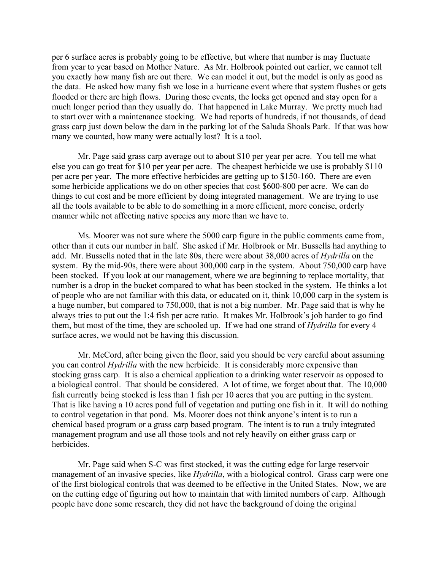per 6 surface acres is probably going to be effective, but where that number is may fluctuate from year to year based on Mother Nature. As Mr. Holbrook pointed out earlier, we cannot tell you exactly how many fish are out there. We can model it out, but the model is only as good as the data. He asked how many fish we lose in a hurricane event where that system flushes or gets flooded or there are high flows. During those events, the locks get opened and stay open for a much longer period than they usually do. That happened in Lake Murray. We pretty much had to start over with a maintenance stocking. We had reports of hundreds, if not thousands, of dead grass carp just down below the dam in the parking lot of the Saluda Shoals Park. If that was how many we counted, how many were actually lost? It is a tool.

Mr. Page said grass carp average out to about \$10 per year per acre. You tell me what else you can go treat for \$10 per year per acre. The cheapest herbicide we use is probably \$110 per acre per year. The more effective herbicides are getting up to \$150-160. There are even some herbicide applications we do on other species that cost \$600-800 per acre. We can do things to cut cost and be more efficient by doing integrated management. We are trying to use all the tools available to be able to do something in a more efficient, more concise, orderly manner while not affecting native species any more than we have to.

Ms. Moorer was not sure where the 5000 carp figure in the public comments came from, other than it cuts our number in half. She asked if Mr. Holbrook or Mr. Bussells had anything to add. Mr. Bussells noted that in the late 80s, there were about 38,000 acres of *Hydrilla* on the system. By the mid-90s, there were about 300,000 carp in the system. About 750,000 carp have been stocked. If you look at our management, where we are beginning to replace mortality, that number is a drop in the bucket compared to what has been stocked in the system. He thinks a lot of people who are not familiar with this data, or educated on it, think 10,000 carp in the system is a huge number, but compared to 750,000, that is not a big number. Mr. Page said that is why he always tries to put out the 1:4 fish per acre ratio. It makes Mr. Holbrook's job harder to go find them, but most of the time, they are schooled up. If we had one strand of *Hydrilla* for every 4 surface acres, we would not be having this discussion.

Mr. McCord, after being given the floor, said you should be very careful about assuming you can control *Hydrilla* with the new herbicide. It is considerably more expensive than stocking grass carp. It is also a chemical application to a drinking water reservoir as opposed to a biological control. That should be considered. A lot of time, we forget about that. The 10,000 fish currently being stocked is less than 1 fish per 10 acres that you are putting in the system. That is like having a 10 acres pond full of vegetation and putting one fish in it. It will do nothing to control vegetation in that pond. Ms. Moorer does not think anyone's intent is to run a chemical based program or a grass carp based program. The intent is to run a truly integrated management program and use all those tools and not rely heavily on either grass carp or herbicides.

Mr. Page said when S-C was first stocked, it was the cutting edge for large reservoir management of an invasive species, like *Hydrilla*, with a biological control. Grass carp were one of the first biological controls that was deemed to be effective in the United States. Now, we are on the cutting edge of figuring out how to maintain that with limited numbers of carp. Although people have done some research, they did not have the background of doing the original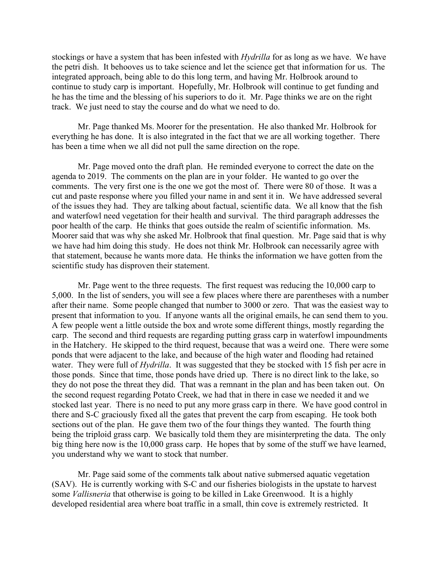stockings or have a system that has been infested with *Hydrilla* for as long as we have. We have the petri dish. It behooves us to take science and let the science get that information for us. The integrated approach, being able to do this long term, and having Mr. Holbrook around to continue to study carp is important. Hopefully, Mr. Holbrook will continue to get funding and he has the time and the blessing of his superiors to do it. Mr. Page thinks we are on the right track. We just need to stay the course and do what we need to do.

Mr. Page thanked Ms. Moorer for the presentation. He also thanked Mr. Holbrook for everything he has done. It is also integrated in the fact that we are all working together. There has been a time when we all did not pull the same direction on the rope.

Mr. Page moved onto the draft plan. He reminded everyone to correct the date on the agenda to 2019. The comments on the plan are in your folder. He wanted to go over the comments. The very first one is the one we got the most of. There were 80 of those. It was a cut and paste response where you filled your name in and sent it in. We have addressed several of the issues they had. They are talking about factual, scientific data. We all know that the fish and waterfowl need vegetation for their health and survival. The third paragraph addresses the poor health of the carp. He thinks that goes outside the realm of scientific information. Ms. Moorer said that was why she asked Mr. Holbrook that final question. Mr. Page said that is why we have had him doing this study. He does not think Mr. Holbrook can necessarily agree with that statement, because he wants more data. He thinks the information we have gotten from the scientific study has disproven their statement.

Mr. Page went to the three requests. The first request was reducing the 10,000 carp to 5,000. In the list of senders, you will see a few places where there are parentheses with a number after their name. Some people changed that number to 3000 or zero. That was the easiest way to present that information to you. If anyone wants all the original emails, he can send them to you. A few people went a little outside the box and wrote some different things, mostly regarding the carp. The second and third requests are regarding putting grass carp in waterfowl impoundments in the Hatchery. He skipped to the third request, because that was a weird one. There were some ponds that were adjacent to the lake, and because of the high water and flooding had retained water. They were full of *Hydrilla*. It was suggested that they be stocked with 15 fish per acre in those ponds. Since that time, those ponds have dried up. There is no direct link to the lake, so they do not pose the threat they did. That was a remnant in the plan and has been taken out. On the second request regarding Potato Creek, we had that in there in case we needed it and we stocked last year. There is no need to put any more grass carp in there. We have good control in there and S-C graciously fixed all the gates that prevent the carp from escaping. He took both sections out of the plan. He gave them two of the four things they wanted. The fourth thing being the triploid grass carp. We basically told them they are misinterpreting the data. The only big thing here now is the 10,000 grass carp. He hopes that by some of the stuff we have learned, you understand why we want to stock that number.

Mr. Page said some of the comments talk about native submersed aquatic vegetation (SAV). He is currently working with S-C and our fisheries biologists in the upstate to harvest some *Vallisneria* that otherwise is going to be killed in Lake Greenwood. It is a highly developed residential area where boat traffic in a small, thin cove is extremely restricted. It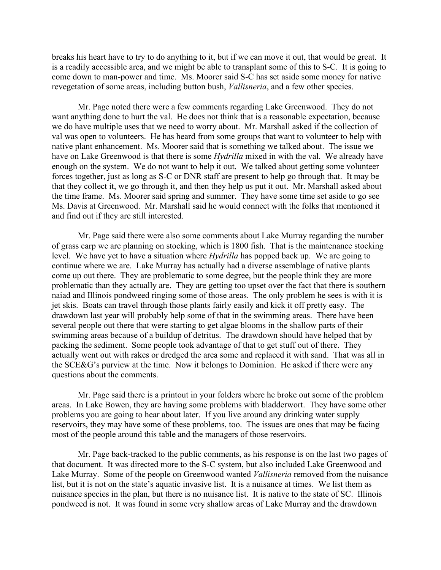breaks his heart have to try to do anything to it, but if we can move it out, that would be great. It is a readily accessible area, and we might be able to transplant some of this to S-C. It is going to come down to man-power and time. Ms. Moorer said S-C has set aside some money for native revegetation of some areas, including button bush, *Vallisneria*, and a few other species.

Mr. Page noted there were a few comments regarding Lake Greenwood. They do not want anything done to hurt the val. He does not think that is a reasonable expectation, because we do have multiple uses that we need to worry about. Mr. Marshall asked if the collection of val was open to volunteers. He has heard from some groups that want to volunteer to help with native plant enhancement. Ms. Moorer said that is something we talked about. The issue we have on Lake Greenwood is that there is some *Hydrilla* mixed in with the val. We already have enough on the system. We do not want to help it out. We talked about getting some volunteer forces together, just as long as S-C or DNR staff are present to help go through that. It may be that they collect it, we go through it, and then they help us put it out. Mr. Marshall asked about the time frame. Ms. Moorer said spring and summer. They have some time set aside to go see Ms. Davis at Greenwood. Mr. Marshall said he would connect with the folks that mentioned it and find out if they are still interested.

Mr. Page said there were also some comments about Lake Murray regarding the number of grass carp we are planning on stocking, which is 1800 fish. That is the maintenance stocking level. We have yet to have a situation where *Hydrilla* has popped back up. We are going to continue where we are. Lake Murray has actually had a diverse assemblage of native plants come up out there. They are problematic to some degree, but the people think they are more problematic than they actually are. They are getting too upset over the fact that there is southern naiad and Illinois pondweed ringing some of those areas. The only problem he sees is with it is jet skis. Boats can travel through those plants fairly easily and kick it off pretty easy. The drawdown last year will probably help some of that in the swimming areas. There have been several people out there that were starting to get algae blooms in the shallow parts of their swimming areas because of a buildup of detritus. The drawdown should have helped that by packing the sediment. Some people took advantage of that to get stuff out of there. They actually went out with rakes or dredged the area some and replaced it with sand. That was all in the SCE&G's purview at the time. Now it belongs to Dominion. He asked if there were any questions about the comments.

Mr. Page said there is a printout in your folders where he broke out some of the problem areas. In Lake Bowen, they are having some problems with bladderwort. They have some other problems you are going to hear about later. If you live around any drinking water supply reservoirs, they may have some of these problems, too. The issues are ones that may be facing most of the people around this table and the managers of those reservoirs.

Mr. Page back-tracked to the public comments, as his response is on the last two pages of that document. It was directed more to the S-C system, but also included Lake Greenwood and Lake Murray. Some of the people on Greenwood wanted *Vallisneria* removed from the nuisance list, but it is not on the state's aquatic invasive list. It is a nuisance at times. We list them as nuisance species in the plan, but there is no nuisance list. It is native to the state of SC. Illinois pondweed is not. It was found in some very shallow areas of Lake Murray and the drawdown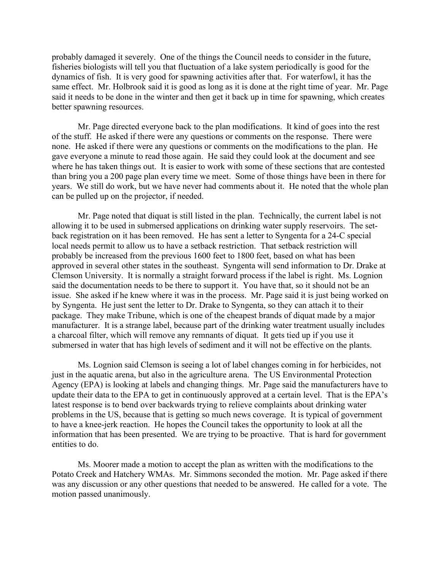probably damaged it severely. One of the things the Council needs to consider in the future, fisheries biologists will tell you that fluctuation of a lake system periodically is good for the dynamics of fish. It is very good for spawning activities after that. For waterfowl, it has the same effect. Mr. Holbrook said it is good as long as it is done at the right time of year. Mr. Page said it needs to be done in the winter and then get it back up in time for spawning, which creates better spawning resources.

Mr. Page directed everyone back to the plan modifications. It kind of goes into the rest of the stuff. He asked if there were any questions or comments on the response. There were none. He asked if there were any questions or comments on the modifications to the plan. He gave everyone a minute to read those again. He said they could look at the document and see where he has taken things out. It is easier to work with some of these sections that are contested than bring you a 200 page plan every time we meet. Some of those things have been in there for years. We still do work, but we have never had comments about it. He noted that the whole plan can be pulled up on the projector, if needed.

Mr. Page noted that diquat is still listed in the plan. Technically, the current label is not allowing it to be used in submersed applications on drinking water supply reservoirs. The setback registration on it has been removed. He has sent a letter to Syngenta for a 24-C special local needs permit to allow us to have a setback restriction. That setback restriction will probably be increased from the previous 1600 feet to 1800 feet, based on what has been approved in several other states in the southeast. Syngenta will send information to Dr. Drake at Clemson University. It is normally a straight forward process if the label is right. Ms. Lognion said the documentation needs to be there to support it. You have that, so it should not be an issue. She asked if he knew where it was in the process. Mr. Page said it is just being worked on by Syngenta. He just sent the letter to Dr. Drake to Syngenta, so they can attach it to their package. They make Tribune, which is one of the cheapest brands of diquat made by a major manufacturer. It is a strange label, because part of the drinking water treatment usually includes a charcoal filter, which will remove any remnants of diquat. It gets tied up if you use it submersed in water that has high levels of sediment and it will not be effective on the plants.

Ms. Lognion said Clemson is seeing a lot of label changes coming in for herbicides, not just in the aquatic arena, but also in the agriculture arena. The US Environmental Protection Agency (EPA) is looking at labels and changing things. Mr. Page said the manufacturers have to update their data to the EPA to get in continuously approved at a certain level. That is the EPA's latest response is to bend over backwards trying to relieve complaints about drinking water problems in the US, because that is getting so much news coverage. It is typical of government to have a knee-jerk reaction. He hopes the Council takes the opportunity to look at all the information that has been presented. We are trying to be proactive. That is hard for government entities to do.

Ms. Moorer made a motion to accept the plan as written with the modifications to the Potato Creek and Hatchery WMAs. Mr. Simmons seconded the motion. Mr. Page asked if there was any discussion or any other questions that needed to be answered. He called for a vote. The motion passed unanimously.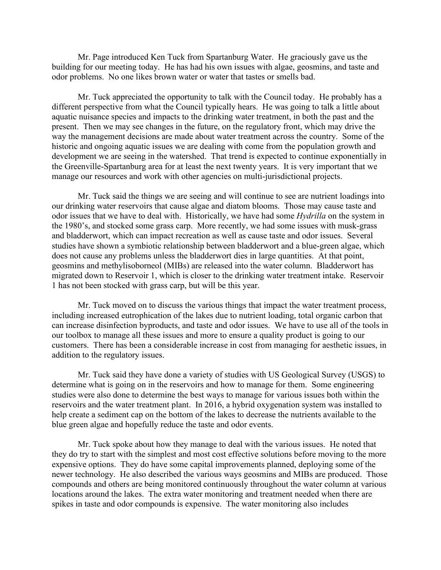Mr. Page introduced Ken Tuck from Spartanburg Water. He graciously gave us the building for our meeting today. He has had his own issues with algae, geosmins, and taste and odor problems. No one likes brown water or water that tastes or smells bad.

Mr. Tuck appreciated the opportunity to talk with the Council today. He probably has a different perspective from what the Council typically hears. He was going to talk a little about aquatic nuisance species and impacts to the drinking water treatment, in both the past and the present. Then we may see changes in the future, on the regulatory front, which may drive the way the management decisions are made about water treatment across the country. Some of the historic and ongoing aquatic issues we are dealing with come from the population growth and development we are seeing in the watershed. That trend is expected to continue exponentially in the Greenville-Spartanburg area for at least the next twenty years. It is very important that we manage our resources and work with other agencies on multi-jurisdictional projects.

Mr. Tuck said the things we are seeing and will continue to see are nutrient loadings into our drinking water reservoirs that cause algae and diatom blooms. Those may cause taste and odor issues that we have to deal with. Historically, we have had some *Hydrilla* on the system in the 1980's, and stocked some grass carp. More recently, we had some issues with musk-grass and bladderwort, which can impact recreation as well as cause taste and odor issues. Several studies have shown a symbiotic relationship between bladderwort and a blue-green algae, which does not cause any problems unless the bladderwort dies in large quantities. At that point, geosmins and methylisoborneol (MIBs) are released into the water column. Bladderwort has migrated down to Reservoir 1, which is closer to the drinking water treatment intake. Reservoir 1 has not been stocked with grass carp, but will be this year.

Mr. Tuck moved on to discuss the various things that impact the water treatment process, including increased eutrophication of the lakes due to nutrient loading, total organic carbon that can increase disinfection byproducts, and taste and odor issues. We have to use all of the tools in our toolbox to manage all these issues and more to ensure a quality product is going to our customers. There has been a considerable increase in cost from managing for aesthetic issues, in addition to the regulatory issues.

Mr. Tuck said they have done a variety of studies with US Geological Survey (USGS) to determine what is going on in the reservoirs and how to manage for them. Some engineering studies were also done to determine the best ways to manage for various issues both within the reservoirs and the water treatment plant. In 2016, a hybrid oxygenation system was installed to help create a sediment cap on the bottom of the lakes to decrease the nutrients available to the blue green algae and hopefully reduce the taste and odor events.

Mr. Tuck spoke about how they manage to deal with the various issues. He noted that they do try to start with the simplest and most cost effective solutions before moving to the more expensive options. They do have some capital improvements planned, deploying some of the newer technology. He also described the various ways geosmins and MIBs are produced. Those compounds and others are being monitored continuously throughout the water column at various locations around the lakes. The extra water monitoring and treatment needed when there are spikes in taste and odor compounds is expensive. The water monitoring also includes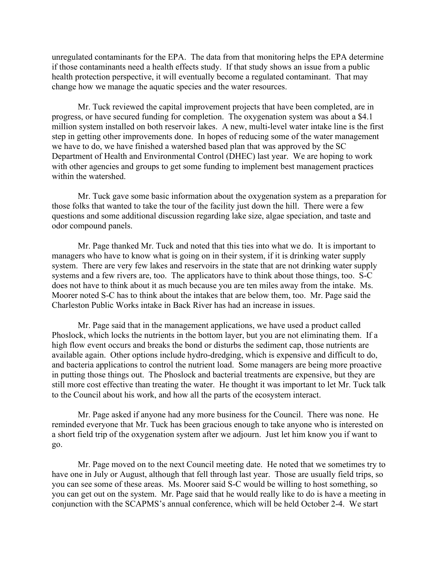unregulated contaminants for the EPA. The data from that monitoring helps the EPA determine if those contaminants need a health effects study. If that study shows an issue from a public health protection perspective, it will eventually become a regulated contaminant. That may change how we manage the aquatic species and the water resources.

Mr. Tuck reviewed the capital improvement projects that have been completed, are in progress, or have secured funding for completion. The oxygenation system was about a \$4.1 million system installed on both reservoir lakes. A new, multi-level water intake line is the first step in getting other improvements done. In hopes of reducing some of the water management we have to do, we have finished a watershed based plan that was approved by the SC Department of Health and Environmental Control (DHEC) last year. We are hoping to work with other agencies and groups to get some funding to implement best management practices within the watershed.

Mr. Tuck gave some basic information about the oxygenation system as a preparation for those folks that wanted to take the tour of the facility just down the hill. There were a few questions and some additional discussion regarding lake size, algae speciation, and taste and odor compound panels.

Mr. Page thanked Mr. Tuck and noted that this ties into what we do. It is important to managers who have to know what is going on in their system, if it is drinking water supply system. There are very few lakes and reservoirs in the state that are not drinking water supply systems and a few rivers are, too. The applicators have to think about those things, too. S-C does not have to think about it as much because you are ten miles away from the intake. Ms. Moorer noted S-C has to think about the intakes that are below them, too. Mr. Page said the Charleston Public Works intake in Back River has had an increase in issues.

Mr. Page said that in the management applications, we have used a product called Phoslock, which locks the nutrients in the bottom layer, but you are not eliminating them. If a high flow event occurs and breaks the bond or disturbs the sediment cap, those nutrients are available again. Other options include hydro-dredging, which is expensive and difficult to do, and bacteria applications to control the nutrient load. Some managers are being more proactive in putting those things out. The Phoslock and bacterial treatments are expensive, but they are still more cost effective than treating the water. He thought it was important to let Mr. Tuck talk to the Council about his work, and how all the parts of the ecosystem interact.

Mr. Page asked if anyone had any more business for the Council. There was none. He reminded everyone that Mr. Tuck has been gracious enough to take anyone who is interested on a short field trip of the oxygenation system after we adjourn. Just let him know you if want to go.

Mr. Page moved on to the next Council meeting date. He noted that we sometimes try to have one in July or August, although that fell through last year. Those are usually field trips, so you can see some of these areas. Ms. Moorer said S-C would be willing to host something, so you can get out on the system. Mr. Page said that he would really like to do is have a meeting in conjunction with the SCAPMS's annual conference, which will be held October 2-4. We start